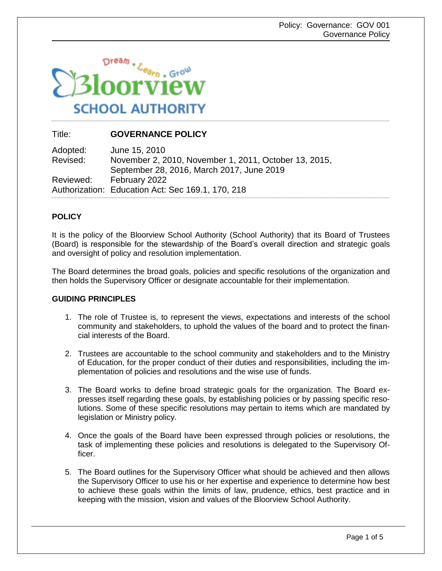

# Title: **GOVERNANCE POLICY**

Adopted: June 15, 2010<br>Revised: November 2, 2 Revised: November 2, 2010, November 1, 2011, October 13, 2015, September 28, 2016, March 2017, June 2019 Reviewed: February 2022 Authorization: Education Act: Sec 169.1, 170, 218

# **POLICY**

It is the policy of the Bloorview School Authority (School Authority) that its Board of Trustees (Board) is responsible for the stewardship of the Board's overall direction and strategic goals and oversight of policy and resolution implementation.

The Board determines the broad goals, policies and specific resolutions of the organization and then holds the Supervisory Officer or designate accountable for their implementation.

### **GUIDING PRINCIPLES**

- 1. The role of Trustee is, to represent the views, expectations and interests of the school community and stakeholders, to uphold the values of the board and to protect the financial interests of the Board.
- 2. Trustees are accountable to the school community and stakeholders and to the Ministry of Education, for the proper conduct of their duties and responsibilities, including the implementation of policies and resolutions and the wise use of funds.
- 3. The Board works to define broad strategic goals for the organization. The Board expresses itself regarding these goals, by establishing policies or by passing specific resolutions. Some of these specific resolutions may pertain to items which are mandated by legislation or Ministry policy.
- 4. Once the goals of the Board have been expressed through policies or resolutions, the task of implementing these policies and resolutions is delegated to the Supervisory Officer.
- 5. The Board outlines for the Supervisory Officer what should be achieved and then allows the Supervisory Officer to use his or her expertise and experience to determine how best to achieve these goals within the limits of law, prudence, ethics, best practice and in keeping with the mission, vision and values of the Bloorview School Authority.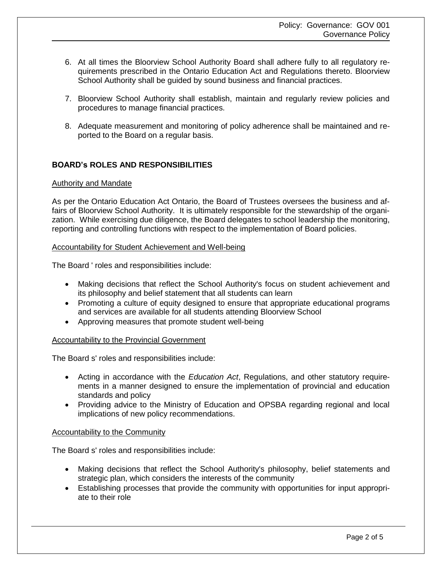- 6. At all times the Bloorview School Authority Board shall adhere fully to all regulatory requirements prescribed in the Ontario Education Act and Regulations thereto. Bloorview School Authority shall be guided by sound business and financial practices.
- 7. Bloorview School Authority shall establish, maintain and regularly review policies and procedures to manage financial practices.
- 8. Adequate measurement and monitoring of policy adherence shall be maintained and reported to the Board on a regular basis.

# **BOARD's ROLES AND RESPONSIBILITIES**

#### Authority and Mandate

As per the Ontario Education Act Ontario, the Board of Trustees oversees the business and affairs of Bloorview School Authority. It is ultimately responsible for the stewardship of the organization. While exercising due diligence, the Board delegates to school leadership the monitoring, reporting and controlling functions with respect to the implementation of Board policies.

#### Accountability for Student Achievement and Well-being

The Board ' roles and responsibilities include:

- Making decisions that reflect the School Authority's focus on student achievement and its philosophy and belief statement that all students can learn
- Promoting a culture of equity designed to ensure that appropriate educational programs and services are available for all students attending Bloorview School
- Approving measures that promote student well-being

### Accountability to the Provincial Government

The Board s' roles and responsibilities include:

- Acting in accordance with the *Education Act*, Regulations, and other statutory requirements in a manner designed to ensure the implementation of provincial and education standards and policy
- Providing advice to the Ministry of Education and OPSBA regarding regional and local implications of new policy recommendations.

### Accountability to the Community

The Board s' roles and responsibilities include:

- Making decisions that reflect the School Authority's philosophy, belief statements and strategic plan, which considers the interests of the community
- Establishing processes that provide the community with opportunities for input appropriate to their role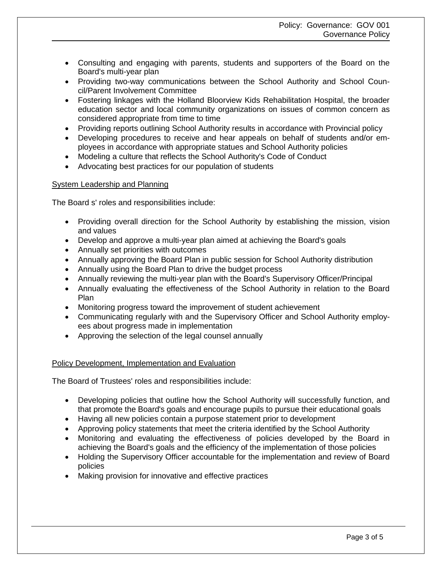- Consulting and engaging with parents, students and supporters of the Board on the Board's multi-year plan
- Providing two-way communications between the School Authority and School Council/Parent Involvement Committee
- Fostering linkages with the Holland Bloorview Kids Rehabilitation Hospital, the broader education sector and local community organizations on issues of common concern as considered appropriate from time to time
- Providing reports outlining School Authority results in accordance with Provincial policy
- Developing procedures to receive and hear appeals on behalf of students and/or employees in accordance with appropriate statues and School Authority policies
- Modeling a culture that reflects the School Authority's Code of Conduct
- Advocating best practices for our population of students

### System Leadership and Planning

The Board s' roles and responsibilities include:

- Providing overall direction for the School Authority by establishing the mission, vision and values
- Develop and approve a multi-year plan aimed at achieving the Board's goals
- Annually set priorities with outcomes
- Annually approving the Board Plan in public session for School Authority distribution
- Annually using the Board Plan to drive the budget process
- Annually reviewing the multi-year plan with the Board's Supervisory Officer/Principal
- Annually evaluating the effectiveness of the School Authority in relation to the Board Plan
- Monitoring progress toward the improvement of student achievement
- Communicating regularly with and the Supervisory Officer and School Authority employees about progress made in implementation
- Approving the selection of the legal counsel annually

# Policy Development, Implementation and Evaluation

The Board of Trustees' roles and responsibilities include:

- Developing policies that outline how the School Authority will successfully function, and that promote the Board's goals and encourage pupils to pursue their educational goals
- Having all new policies contain a purpose statement prior to development
- Approving policy statements that meet the criteria identified by the School Authority
- Monitoring and evaluating the effectiveness of policies developed by the Board in achieving the Board's goals and the efficiency of the implementation of those policies
- Holding the Supervisory Officer accountable for the implementation and review of Board policies
- Making provision for innovative and effective practices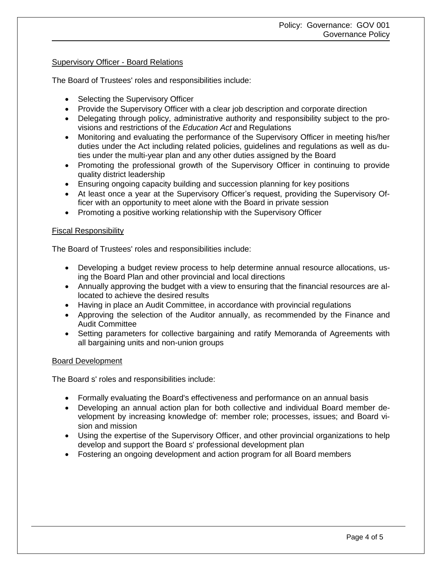### Supervisory Officer - Board Relations

The Board of Trustees' roles and responsibilities include:

- Selecting the Supervisory Officer
- Provide the Supervisory Officer with a clear job description and corporate direction
- Delegating through policy, administrative authority and responsibility subject to the provisions and restrictions of the *Education Act* and Regulations
- Monitoring and evaluating the performance of the Supervisory Officer in meeting his/her duties under the Act including related policies, guidelines and regulations as well as duties under the multi-year plan and any other duties assigned by the Board
- Promoting the professional growth of the Supervisory Officer in continuing to provide quality district leadership
- Ensuring ongoing capacity building and succession planning for key positions
- At least once a year at the Supervisory Officer's request, providing the Supervisory Officer with an opportunity to meet alone with the Board in private session
- Promoting a positive working relationship with the Supervisory Officer

### Fiscal Responsibility

The Board of Trustees' roles and responsibilities include:

- Developing a budget review process to help determine annual resource allocations, using the Board Plan and other provincial and local directions
- Annually approving the budget with a view to ensuring that the financial resources are allocated to achieve the desired results
- Having in place an Audit Committee, in accordance with provincial regulations
- Approving the selection of the Auditor annually, as recommended by the Finance and Audit Committee
- Setting parameters for collective bargaining and ratify Memoranda of Agreements with all bargaining units and non-union groups

### Board Development

The Board s' roles and responsibilities include:

- Formally evaluating the Board's effectiveness and performance on an annual basis
- Developing an annual action plan for both collective and individual Board member development by increasing knowledge of: member role; processes, issues; and Board vision and mission
- Using the expertise of the Supervisory Officer, and other provincial organizations to help develop and support the Board s' professional development plan
- Fostering an ongoing development and action program for all Board members